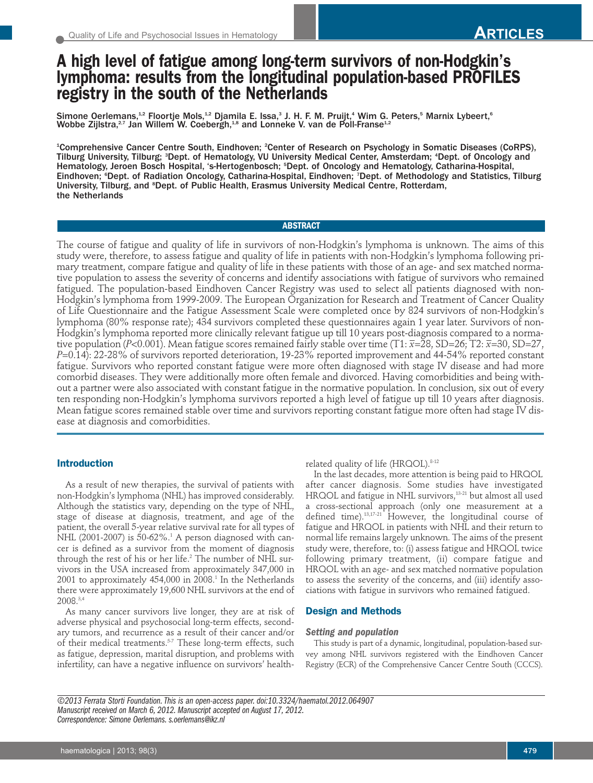# **A high level of fatigue among long-term survivors of non-Hodgkin's lymphoma: results from the longitudinal population-based PROFILES registry in the south of the Netherlands**

Simone Oerlemans,<sup>12</sup> Floortje Mols,<sup>12</sup> Djamila E. Issa,<sup>3</sup> J. H. F. M. Pruijt,<sup>4</sup> Wim G. Peters,<sup>5</sup> Marnix Lybeert,<sup>6</sup> Wobbe Zijlstra,<sup>2,7</sup> Jan Willem W. Coebergh,<sup>1,8</sup> and Lonneke V. van de Poll-Franse<sup>1,2</sup>

1 Comprehensive Cancer Centre South, Eindhoven; <sup>2</sup> Center of Research on Psychology in Somatic Diseases (CoRPS), Tilburg University, Tilburg; <sup>s</sup>Dept. of Hematology, VU University Medical Center, Amsterdam; <sup>4</sup>Dept. of Oncology and Hematology, Jeroen Bosch Hospital, 's-Hertogenbosch; <sup>5</sup> Dept. of Oncology and Hematology, Catharina-Hospital, Eindhoven; <sup>6</sup>Dept. of Radiation Oncology, Catharina-Hospital, Eindhoven; 7Dept. of Methodology and Statistics, Tilburg University, Tilburg, and <sup>s</sup>Dept. of Public Health, Erasmus University Medical Centre, Rotterdam, the Netherlands

# **ABSTRACT**

The course of fatigue and quality of life in survivors of non-Hodgkin's lymphoma is unknown. The aims of this study were, therefore, to assess fatigue and quality of life in patients with non-Hodgkin's lymphoma following primary treatment, compare fatigue and quality of life in these patients with those of an age- and sex matched normative population to assess the severity of concerns and identify associations with fatigue of survivors who remained fatigued. The population-based Eindhoven Cancer Registry was used to select all patients diagnosed with non-Hodgkin's lymphoma from 1999-2009. The European Organization for Research and Treatment of Cancer Quality of Life Questionnaire and the Fatigue Assessment Scale were completed once by 824 survivors of non-Hodgkin's lymphoma (80% response rate); 434 survivors completed these questionnaires again 1 year later. Survivors of non-Hodgkin's lymphoma reported more clinically relevant fatigue up till 10 years post-diagnosis compared to a normative population (*P*<0.001). Mean fatigue scores remained fairly stable over time (T1: *x –*=28, SD=26; T2: *<sup>x</sup> –*=30, SD=27, *P*=0.14): 22-28% of survivors reported deterioration, 19-23% reported improvement and 44-54% reported constant fatigue. Survivors who reported constant fatigue were more often diagnosed with stage IV disease and had more comorbid diseases. They were additionally more often female and divorced. Having comorbidities and being without a partner were also associated with constant fatigue in the normative population. In conclusion, six out of every ten responding non-Hodgkin's lymphoma survivors reported a high level of fatigue up till 10 years after diagnosis. Mean fatigue scores remained stable over time and survivors reporting constant fatigue more often had stage IV disease at diagnosis and comorbidities.

# **Introduction**

As a result of new therapies, the survival of patients with non-Hodgkin's lymphoma (NHL) has improved considerably. Although the statistics vary, depending on the type of NHL, stage of disease at diagnosis, treatment, and age of the patient, the overall 5-year relative survival rate for all types of NHL (2001-2007) is 50-62%. <sup>1</sup> A person diagnosed with cancer is defined as a survivor from the moment of diagnosis through the rest of his or her life. <sup>2</sup> The number of NHL survivors in the USA increased from approximately 347,000 in 2001 to approximately 454,000 in 2008. <sup>1</sup> In the Netherlands there were approximately 19,600 NHL survivors at the end of 2008. 3,4

As many cancer survivors live longer, they are at risk of adverse physical and psychosocial long-term effects, secondary tumors, and recurrence as a result of their cancer and/or of their medical treatments.<sup>5-7</sup> These long-term effects, such as fatigue, depression, marital disruption, and problems with infertility, can have a negative influence on survivors' healthrelated quality of life (HRQOL). 8-12

In the last decades, more attention is being paid to HRQOL after cancer diagnosis. Some studies have investigated HRQOL and fatigue in NHL survivors, 13-21 but almost all used a cross-sectional approach (only one measurement at a defined time). 13,17-21 However, the longitudinal course of fatigue and HRQOL in patients with NHL and their return to normal life remains largely unknown. The aims of the present study were, therefore, to: (i) assess fatigue and HRQOL twice following primary treatment, (ii) compare fatigue and HRQOL with an age- and sex matched normative population to assess the severity of the concerns, and (iii) identify associations with fatigue in survivors who remained fatigued.

# **Design and Methods**

#### *Setting and population*

This study is part of a dynamic, longitudinal, population-based survey among NHL survivors registered with the Eindhoven Cancer Registry (ECR) of the Comprehensive Cancer Centre South (CCCS).

*©2013 Ferrata Storti Foundation.This is an open-access paper.doi:10.3324/haematol.2012.064907 Manuscript received on March 6, 2012. Manuscript accepted on August 17, 2012. Correspondence: Simone Oerlemans. s.oerlemans@ikz.nl*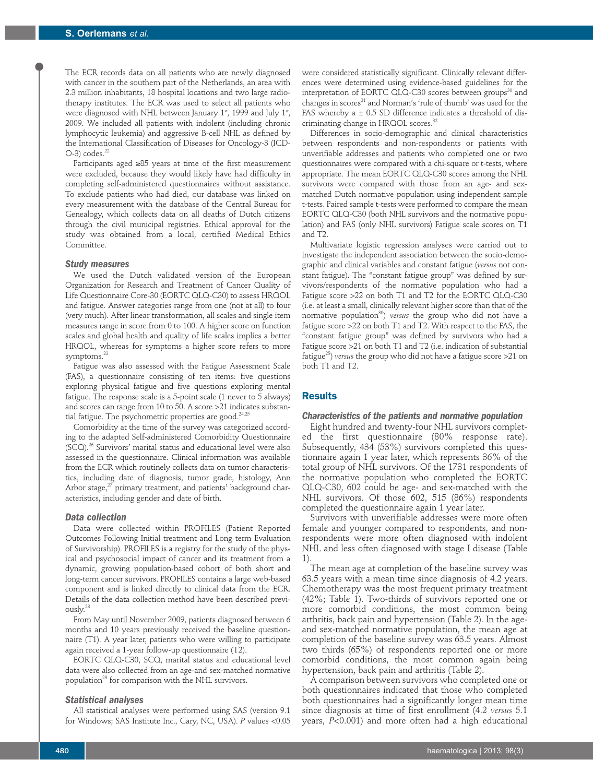The ECR records data on all patients who are newly diagnosed with cancer in the southern part of the Netherlands, an area with 2.3 million inhabitants, 18 hospital locations and two large radiotherapy institutes. The ECR was used to select all patients who were diagnosed with NHL between January 1 $^{\ast}$ , 1999 and July 1 $^{\ast}$ , 2009. We included all patients with indolent (including chronic lymphocytic leukemia) and aggressive B-cell NHL as defined by the International Classification of Diseases for Oncology-3 (ICD- $O-3$ ) codes. $^{22}$ 

Participants aged ≥85 years at time of the first measurement were excluded, because they would likely have had difficulty in completing self-administered questionnaires without assistance. To exclude patients who had died, our database was linked on every measurement with the database of the Central Bureau for Genealogy, which collects data on all deaths of Dutch citizens through the civil municipal registries. Ethical approval for the study was obtained from a local, certified Medical Ethics Committee.

#### *Study measures*

We used the Dutch validated version of the European Organization for Research and Treatment of Cancer Quality of Life Questionnaire Core-30 (EORTC QLQ-C30) to assess HRQOL and fatigue. Answer categories range from one (not at all) to four (very much). After linear transformation, all scales and single item measures range in score from 0 to 100. A higher score on function scales and global health and quality of life scales implies a better HRQOL, whereas for symptoms a higher score refers to more symptoms. 23

Fatigue was also assessed with the Fatigue Assessment Scale (FAS), a questionnaire consisting of ten items: five questions exploring physical fatigue and five questions exploring mental fatigue. The response scale is a 5-point scale (1 never to 5 always) and scores can range from 10 to 50. A score >21 indicates substantial fatigue. The psychometric properties are good. 24,25

Comorbidity at the time of the survey was categorized according to the adapted Self-administered Comorbidity Questionnaire (SCQ). <sup>26</sup> Survivors' marital status and educational level were also assessed in the questionnaire. Clinical information was available from the ECR which routinely collects data on tumor characteristics, including date of diagnosis, tumor grade, histology, Ann Arbor stage,<sup>27</sup> primary treatment, and patients' background characteristics, including gender and date of birth.

#### *Data collection*

Data were collected within PROFILES (Patient Reported Outcomes Following Initial treatment and Long term Evaluation of Survivorship). PROFILES is a registry for the study of the physical and psychosocial impact of cancer and its treatment from a dynamic, growing population-based cohort of both short and long-term cancer survivors. PROFILES contains a large web-based component and is linked directly to clinical data from the ECR. Details of the data collection method have been described previously. 28

From May until November 2009, patients diagnosed between 6 months and 10 years previously received the baseline questionnaire (T1). A year later, patients who were willing to participate again received a 1-year follow-up questionnaire (T2).

EORTC QLQ-C30, SCQ, marital status and educational level data were also collected from an age-and sex-matched normative population<sup>29</sup> for comparison with the NHL survivors.

## *Statistical analyses*

All statistical analyses were performed using SAS (version 9.1 for Windows; SAS Institute Inc., Cary, NC, USA). *P* values <0.05 were considered statistically significant. Clinically relevant differences were determined using evidence-based guidelines for the interpretation of EORTC QLQ-C30 scores between groups <sup>30</sup> and changes in scores <sup>31</sup> and Norman's 'rule of thumb' was used for the FAS whereby a  $\pm$  0.5 SD difference indicates a threshold of discriminating change in HRQOL scores. 32

Differences in socio-demographic and clinical characteristics between respondents and non-respondents or patients with unverifiable addresses and patients who completed one or two questionnaires were compared with a chi-square or t-tests, where appropriate. The mean EORTC QLQ-C30 scores among the NHL survivors were compared with those from an age- and sexmatched Dutch normative population using independent sample t-tests. Paired sample t-tests were performed to compare the mean EORTC QLQ-C30 (both NHL survivors and the normative population) and FAS (only NHL survivors) Fatigue scale scores on T1 and T2.

Multivariate logistic regression analyses were carried out to investigate the independent association between the socio-demographic and clinical variables and constant fatigue (*versus* not constant fatigue). The "constant fatigue group" was defined by survivors/respondents of the normative population who had a Fatigue score >22 on both T1 and T2 for the EORTC QLQ-C30 (i.e. at least a small, clinically relevant higher score than that of the normative population<sup>30</sup>) *versus* the group who did not have a fatigue score >22 on both T1 and T2. With respect to the FAS, the "constant fatigue group" was defined by survivors who had a Fatigue score >21 on both T1 and T2 (i.e. indication of substantial fatigue25 ) *versus* the group who did not have a fatigue score >21 on both T1 and T2.

# **Results**

#### *Characteristics of the patients and normative population*

Eight hundred and twenty-four NHL survivors completed the first questionnaire (80% response rate). Subsequently, 434 (53%) survivors completed this questionnaire again 1 year later, which represents 36% of the total group of NHL survivors. Of the 1731 respondents of the normative population who completed the EORTC QLQ-C30, 602 could be age- and sex-matched with the NHL survivors. Of those 602, 515 (86%) respondents completed the questionnaire again 1 year later.

Survivors with unverifiable addresses were more often female and younger compared to respondents, and nonrespondents were more often diagnosed with indolent NHL and less often diagnosed with stage I disease (Table 1).

The mean age at completion of the baseline survey was 63.5 years with a mean time since diagnosis of 4.2 years. Chemotherapy was the most frequent primary treatment (42%; Table 1). Two-thirds of survivors reported one or more comorbid conditions, the most common being arthritis, back pain and hypertension (Table 2). In the ageand sex-matched normative population, the mean age at completion of the baseline survey was 63.5 years. Almost two thirds (65%) of respondents reported one or more comorbid conditions, the most common again being hypertension, back pain and arthritis (Table 2).

A comparison between survivors who completed one or both questionnaires indicated that those who completed both questionnaires had a significantly longer mean time since diagnosis at time of first enrollment (4.2 *versus* 5.1 years, *P*<0.001) and more often had a high educational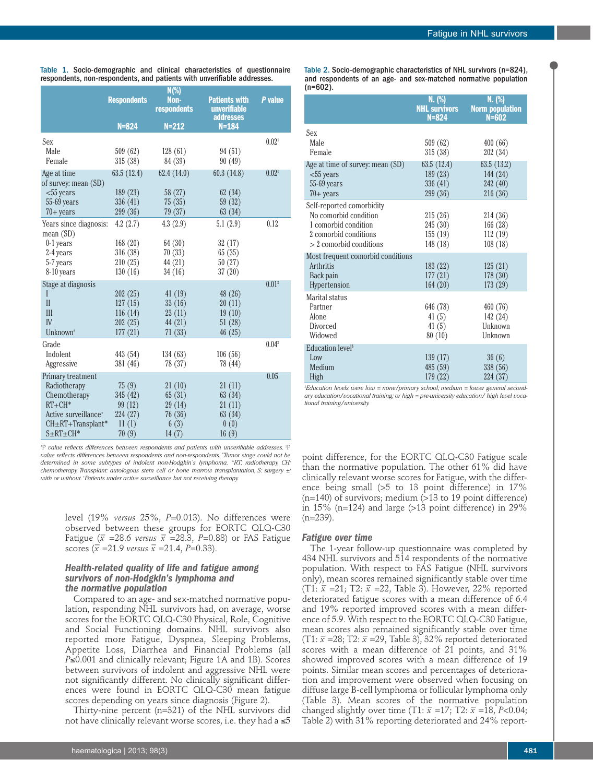|                                     | <b>Respondents</b> | $N(\%)$<br>Non-<br>respondents | <b>Patients with</b><br>unverifiable<br><b>addresses</b> | P value           |
|-------------------------------------|--------------------|--------------------------------|----------------------------------------------------------|-------------------|
|                                     | $N = 824$          | $N = 212$                      | $N = 184$                                                |                   |
| Sex                                 |                    |                                |                                                          | 0.02 <sup>1</sup> |
| Male                                | 509(62)            | 128(61)                        | 94 (51)                                                  |                   |
| Female                              | 315(38)            | 84 (39)                        | 90(49)                                                   |                   |
| Age at time                         | 63.5(12.4)         | 62.4 (14.0)                    | 60.3(14.8)                                               | 0.02 <sup>1</sup> |
| of survey: mean (SD)                |                    |                                |                                                          |                   |
| $<$ 55 years                        | 189(23)            | 58 (27)                        | 62(34)                                                   |                   |
| $55-69$ years                       | 336 (41)           | 75(35)                         | 59 (32)                                                  |                   |
| $70+ years$                         | 299 (36)           | 79(37)                         | 63(34)                                                   |                   |
| Years since diagnosis:<br>mean (SD) | 4.2(2.7)           | 4.3(2.9)                       | 5.1(2.9)                                                 | 0.12              |
| 0-1 years                           | 168(20)            | 64 (30)                        | 32(17)                                                   |                   |
| 2-4 years                           | 316 (38)           | 70(33)                         | 65(35)                                                   |                   |
| 5-7 years                           | 210(25)            | 44 (21)                        | 50(27)                                                   |                   |
| 8-10 years                          | 130(16)            | 34(16)                         | 37(20)                                                   |                   |
| Stage at diagnosis                  |                    |                                |                                                          | 0.01 <sup>2</sup> |
| I                                   | 202(25)            | 41(19)                         | 48 (26)                                                  |                   |
| $\mathbf{I}$                        | 127(15)            | 33(16)                         | 20(11)                                                   |                   |
| III                                 | 116(14)            | 23 (11)                        | 19(10)                                                   |                   |
| IV                                  | 202(25)            | 44 (21)                        | 51(28)                                                   |                   |
| Unknown <sup>*</sup>                | 177(21)            | 71(33)                         | 46(25)                                                   |                   |
| Grade                               |                    |                                |                                                          | $0.04^2$          |
| Indolent                            | 443 (54)           | 134(63)                        | 106(56)                                                  |                   |
| Aggressive                          | 381 (46)           | 78 (37)                        | 78 (44)                                                  |                   |
| Primary treatment                   |                    |                                |                                                          | 0.05              |
| Radiotherapy                        | 75(9)              | 21(10)                         | 21(11)                                                   |                   |
| Chemotherapy                        | 345 (42)           | 65(31)                         | 63 (34)                                                  |                   |
| $RT + CH*$                          | 99 (12)            | 29 (14)                        | 21(11)                                                   |                   |
| Active surveillance <sup>+</sup>    | 224 (27)           | 76(36)                         | 63(34)                                                   |                   |
| CH±RT+Transplant*                   | 11(1)              | 6(3)                           | 0(0)                                                     |                   |
| $S \pm RT \pm CH^*$                 | 70(9)              | 14(7)                          | 16(9)                                                    |                   |

Table 1. Socio-demographic and clinical characteristics of questionnaire respondents, non-respondents, and patients with unverifiable addresses.

*1* P *value reflects differences between respondents and patients with unverifiable addresses. <sup>2</sup>* P *value reflects differences between respondents and non-respondents. # Tumor stage could not be determined in some subtypes of indolent non-Hodgkin's lymphoma. \*RT: radiotherapy, CH: chemotherapy, Transplant: autologous stem cell or bone marrow transplantation, S: surgery ±: with or without. <sup>+</sup> Patients under active surveillance but not receiving therapy.*

level (19% *versus* 25%, *P*=0.013). No differences were observed between these groups for EORTC QLQ-C30 Fatigue ( $\bar{x}$  =28.6 *versus*  $\bar{x}$  =28.3, *P*=0.88) or FAS Fatigue scores  $(\bar{x} = 21.9 \text{ versus } \bar{x} = 21.4, P=0.33)$ .

# *Health-related quality of life and fatigue among survivors of non-Hodgkin's lymphoma and the normative population*

Compared to an age- and sex-matched normative population, responding NHL survivors had, on average, worse scores for the EORTC QLQ-C30 Physical, Role, Cognitive and Social Functioning domains. NHL survivors also reported more Fatigue, Dyspnea, Sleeping Problems, Appetite Loss, Diarrhea and Financial Problems (all *P*≤0.001 and clinically relevant; Figure 1A and 1B). Scores between survivors of indolent and aggressive NHL were not significantly different. No clinically significant differences were found in EORTC QLQ-C30 mean fatigue scores depending on years since diagnosis (Figure 2).

Thirty-nine percent (n=321) of the NHL survivors did not have clinically relevant worse scores, i.e. they had a  $\leq 5$  Table 2. Socio-demographic characteristics of NHL survivors (n=824), and respondents of an age- and sex-matched normative population  $(n=602)$ .

|                                   | N. (%)<br><b>NHL survivors</b><br>$N = 824$ | N. (%)<br><b>Norm population</b><br>$N = 602$ |
|-----------------------------------|---------------------------------------------|-----------------------------------------------|
| Sex                               |                                             |                                               |
| Male                              | 509(62)                                     | 400(66)                                       |
| Female                            | 315 (38)                                    | 202 (34)                                      |
| Age at time of survey: mean (SD)  | 63.5 (12.4)                                 | 63.5 (13.2)                                   |
| $<$ 55 years                      | 189(23)                                     | 144 (24)                                      |
| $55-69$ years                     | 336 (41)                                    | 242 (40)                                      |
| $70+$ years                       | 299 (36)                                    | 216(36)                                       |
| Self-reported comorbidity         |                                             |                                               |
| No comorbid condition             | 215(26)                                     | 214 (36)                                      |
| 1 comorbid condition              | 245(30)                                     | 166(28)                                       |
| 2 comorbid conditions             | 155(19)                                     | 112(19)                                       |
| $> 2$ comorbid conditions         | 148 (18)                                    | 108(18)                                       |
| Most frequent comorbid conditions |                                             |                                               |
| Arthritis                         | 183(22)                                     | 125(21)                                       |
| Back pain                         | 177(21)                                     | 178(30)                                       |
| Hypertension                      | 164(20)                                     | 173(29)                                       |
| Marital status                    |                                             |                                               |
| Partner                           | 646 (78)                                    | 460(76)                                       |
| Alone                             | 41(5)                                       | 142(24)                                       |
| Divorced                          | 41(5)                                       | Unknown                                       |
| Widowed                           | 80(10)                                      | Unknown                                       |
| Education level <sup>\$</sup>     |                                             |                                               |
| Low                               | 139(17)                                     | 36(6)                                         |
| Medium                            | 485 (59)                                    | 338 (56)                                      |
| High                              | 179 (22)                                    | 224 (37)                                      |

*\$ Education levels were low = none/primary school; medium = lower general secondary education/vocational training; or high = pre-university education/ high level vocational training/university.*

point difference, for the EORTC QLQ-C30 Fatigue scale than the normative population. The other 61% did have clinically relevant worse scores for Fatigue, with the difference being small  $(55 \text{ to } 13 \text{ point difference})$  in 17%  $(n=140)$  of survivors; medium  $(>13$  to 19 point difference) in 15% (n=124) and large  $(>13$  point difference) in 29%  $(n=239)$ .

#### *Fatigue over time*

The 1-year follow-up questionnaire was completed by 434 NHL survivors and 514 respondents of the normative population. With respect to FAS Fatigue (NHL survivors only), mean scores remained significantly stable over time (T1:  $\bar{x}$  =21; T2:  $\bar{x}$  =22, Table 3). However, 22% reported deteriorated fatigue scores with a mean difference of 6.4 and 19% reported improved scores with a mean difference of 5.9. With respect to the EORTC QLQ-C30 Fatigue, mean scores also remained significantly stable over time (T1:  $\bar{x}$  =28; T2:  $\bar{x}$  =29, Table 3), 32% reported deteriorated scores with a mean difference of 21 points, and 31% showed improved scores with a mean difference of 19 points. Similar mean scores and percentages of deterioration and improvement were observed when focusing on diffuse large B-cell lymphoma or follicular lymphoma only (Table 3). Mean scores of the normative population changed slightly over time (T1:  $\bar{x}$  =17; T2:  $\bar{x}$  =18, *P*<0.04; Table 2) with 31% reporting deteriorated and 24% report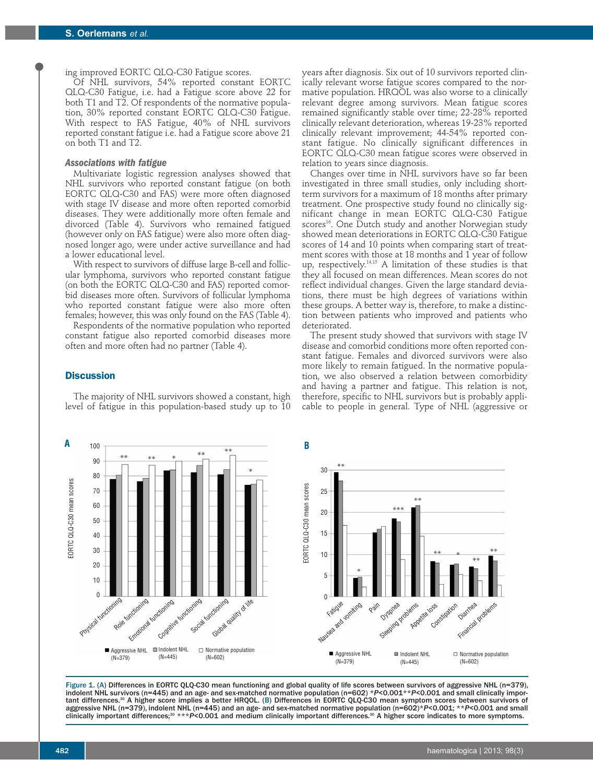ing improved EORTC QLQ-C30 Fatigue scores.

Of NHL survivors, 54% reported constant EORTC QLQ-C30 Fatigue, i.e. had a Fatigue score above 22 for both T1 and T2. Of respondents of the normative population, 30% reported constant EORTC QLQ-C30 Fatigue. With respect to FAS Fatigue, 40% of NHL survivors reported constant fatigue i.e. had a Fatigue score above 21 on both T1 and T2.

### *Associations with fatigue*

Multivariate logistic regression analyses showed that NHL survivors who reported constant fatigue (on both EORTC QLQ-C30 and FAS) were more often diagnosed with stage IV disease and more often reported comorbid diseases. They were additionally more often female and divorced (Table 4). Survivors who remained fatigued (however only on FAS fatigue) were also more often diagnosed longer ago, were under active surveillance and had a lower educational level.

With respect to survivors of diffuse large B-cell and follicular lymphoma, survivors who reported constant fatigue (on both the EORTC QLQ-C30 and FAS) reported comorbid diseases more often. Survivors of follicular lymphoma who reported constant fatigue were also more often females; however, this was only found on the FAS (Table 4).

Respondents of the normative population who reported constant fatigue also reported comorbid diseases more often and more often had no partner (Table 4).

#### **Discussion**

The majority of NHL survivors showed a constant, high level of fatigue in this population-based study up to 10

years after diagnosis. Six out of 10 survivors reported clinically relevant worse fatigue scores compared to the normative population. HRQOL was also worse to a clinically relevant degree among survivors. Mean fatigue scores remained significantly stable over time; 22-28% reported clinically relevant deterioration, whereas 19-23% reported clinically relevant improvement; 44-54% reported constant fatigue. No clinically significant differences in EORTC QLQ-C30 mean fatigue scores were observed in relation to years since diagnosis.

Changes over time in NHL survivors have so far been investigated in three small studies, only including shortterm survivors for a maximum of 18 months after primary treatment. One prospective study found no clinically significant change in mean EORTC QLQ-C30 Fatigue scores<sup>16</sup>. One Dutch study and another Norwegian study showed mean deteriorations in EORTC QLQ-C30 Fatigue scores of 14 and 10 points when comparing start of treatment scores with those at 18 months and 1 year of follow up, respectively. 14,15 A limitation of these studies is that they all focused on mean differences. Mean scores do not reflect individual changes. Given the large standard deviations, there must be high degrees of variations within these groups. A better way is, therefore, to make a distinction between patients who improved and patients who deteriorated.

The present study showed that survivors with stage IV disease and comorbid conditions more often reported constant fatigue. Females and divorced survivors were also more likely to remain fatigued. In the normative population, we also observed a relation between comorbidity and having a partner and fatigue. This relation is not, therefore, specific to NHL survivors but is probably applicable to people in general. Type of NHL (aggressive or



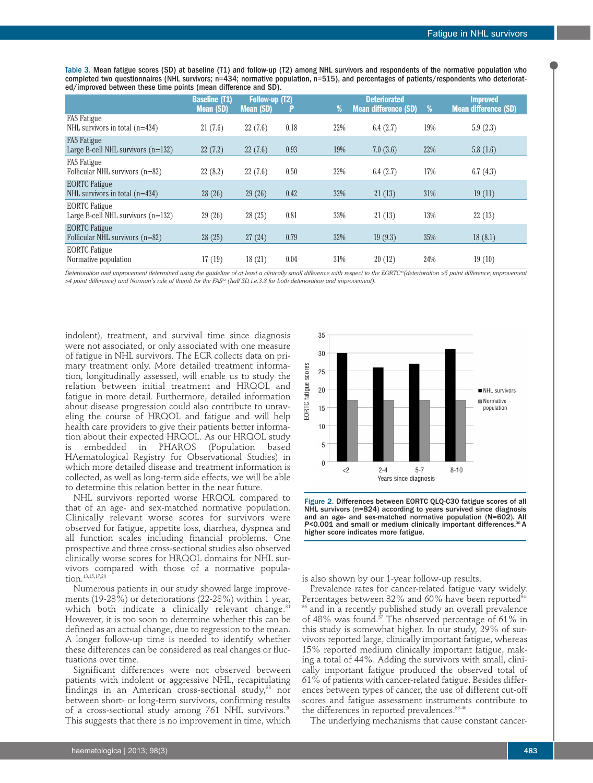Table 3. Mean fatigue scores (SD) at baseline (T1) and follow-up (T2) among NHL survivors and respondents of the normative population who completed two questionnaires (NHL survivors; n=434; normative population, n=515), and percentages of patients/respondents who deteriorated/improved between these time points (mean difference and SD).

|                                                              | <b>Baseline (T1)</b><br><b>Mean (SD)</b> | <b>Follow-up (T2)</b><br><b>Mean (SD)</b> | P    | %   | <b>Deteriorated</b><br><b>Mean difference (SD)</b> | %   | <b>Improved</b><br><b>Mean difference (SD)</b> |
|--------------------------------------------------------------|------------------------------------------|-------------------------------------------|------|-----|----------------------------------------------------|-----|------------------------------------------------|
| <b>FAS</b> Fatigue<br>NHL survivors in total $(n=434)$       | 21(7.6)                                  | 22(7.6)                                   | 0.18 | 22% | 6.4(2.7)                                           | 19% | 5.9(2.3)                                       |
| <b>FAS</b> Fatigue<br>Large B-cell NHL survivors $(n=132)$   | 22(7.2)                                  | 22(7.6)                                   | 0.93 | 19% | 7.0(3.6)                                           | 22% | 5.8(1.6)                                       |
| <b>FAS</b> Fatigue<br>Follicular NHL survivors (n=82)        | 22(8.2)                                  | 22(7.6)                                   | 0.50 | 22% | 6.4(2.7)                                           | 17% | 6.7(4.3)                                       |
| <b>EORTC</b> Fatigue<br>NHL survivors in total $(n=434)$     | 28(26)                                   | 29(26)                                    | 0.42 | 32% | 21(13)                                             | 31% | 19(11)                                         |
| <b>EORTC</b> Fatigue<br>Large B-cell NHL survivors $(n=132)$ | 29(26)                                   | 28(25)                                    | 0.81 | 33% | 21(13)                                             | 13% | 22(13)                                         |
| <b>EORTC Fatigue</b><br>Follicular NHL survivors $(n=82)$    | 28(25)                                   | 27(24)                                    | 0.79 | 32% | 19(9.3)                                            | 35% | 18(8.1)                                        |
| <b>EORTC</b> Fatigue<br>Normative population                 | 17(19)                                   | 18(21)                                    | 0.04 | 31% | 20(12)                                             | 24% | 19(10)                                         |

Deterioration and improvement determined using the guideline of at least a clinically small difference with respect to the EORTC®(deterioration >5 point difference; improvement >4 point difference) and Norman's rule of thumb for the FAS<sup>12</sup> (half SD, i.e.3.8 for both deterioration and improvement).

indolent), treatment, and survival time since diagnosis were not associated, or only associated with one measure of fatigue in NHL survivors. The ECR collects data on primary treatment only. More detailed treatment information, longitudinally assessed, will enable us to study the relation between initial treatment and HRQOL and fatigue in more detail. Furthermore, detailed information about disease progression could also contribute to unraveling the course of HRQOL and fatigue and will help health care providers to give their patients better information about their expected HRQOL. As our HRQOL study is embedded in PHAROS (Population based HAematological Registry for Observational Studies) in which more detailed disease and treatment information is collected, as well as long-term side effects, we will be able to determine this relation better in the near future.

NHL survivors reported worse HRQOL compared to that of an age- and sex-matched normative population. Clinically relevant worse scores for survivors were observed for fatigue, appetite loss, diarrhea, dyspnea and all function scales including financial problems. One prospective and three cross-sectional studies also observed clinically worse scores for HRQOL domains for NHL survivors compared with those of a normative population. 13,15,17,20

Numerous patients in our study showed large improvements (19-23%) or deteriorations (22-28%) within 1 year, which both indicate a clinically relevant change. 31 However, it is too soon to determine whether this can be defined as an actual change, due to regression to the mean. A longer follow-up time is needed to identify whether these differences can be considered as real changes or fluctuations over time.

Significant differences were not observed between patients with indolent or aggressive NHL, recapitulating findings in an American cross-sectional study, <sup>33</sup> nor between short- or long-term survivors, confirming results of a cross-sectional study among 761 NHL survivors. 20 This suggests that there is no improvement in time, which



Figure 2. Differences between EORTC QLQ-C30 fatigue scores of all NHL survivors (n=824) according to years survived since diagnosis and an age- and sex-matched normative population (N=602). All P<0.001 and small or medium clinically important differences.<sup>30</sup> A higher score indicates more fatigue.

is also shown by our 1-year follow-up results.

Prevalence rates for cancer-related fatigue vary widely. Percentages between 32% and 60% have been reported<sup>34</sup> <sup>36</sup> and in a recently published study an overall prevalence of 48% was found. <sup>37</sup> The observed percentage of 61% in this study is somewhat higher. In our study, 29% of survivors reported large, clinically important fatigue, whereas 15% reported medium clinically important fatigue, making a total of 44%. Adding the survivors with small, clinically important fatigue produced the observed total of 61% of patients with cancer-related fatigue. Besides differences between types of cancer, the use of different cut-off scores and fatigue assessment instruments contribute to the differences in reported prevalences. 38-40

The underlying mechanisms that cause constant cancer-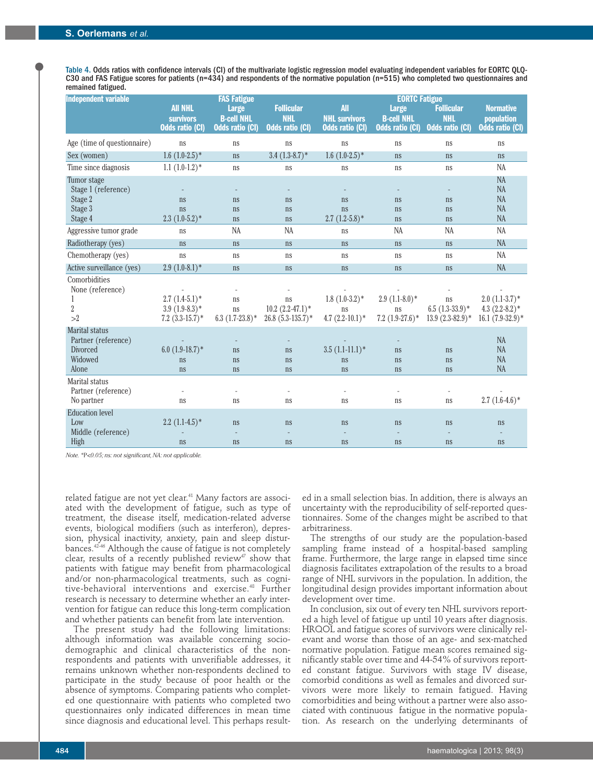Table 4. Odds ratios with confidence intervals (CI) of the multivariate logistic regression model evaluating independent variables for EORTC QLQ-<br>C30 and FAS Fatigue scores for patients (n=434) and respondents of the norma remained fatigued.

| <b>Independent variable</b>                                                  |                                                              | <b>FAS Fatigue</b>                                   |                                                           | <b>EORTC Fatigue</b>                                         |                                                             |                                                           |                                                                   |  |
|------------------------------------------------------------------------------|--------------------------------------------------------------|------------------------------------------------------|-----------------------------------------------------------|--------------------------------------------------------------|-------------------------------------------------------------|-----------------------------------------------------------|-------------------------------------------------------------------|--|
|                                                                              | <b>AII NHL</b><br><b>survivors</b><br><b>Odds ratio (CI)</b> | <b>Large</b><br><b>B-cell NHL</b><br>Odds ratio (CI) | <b>Follicular</b><br><b>NHL</b><br><b>Odds ratio (CI)</b> | <b>All</b><br><b>NHL survivors</b><br><b>Odds ratio (CI)</b> | <b>Large</b><br><b>B-cell NHL</b><br><b>Odds ratio (CI)</b> | <b>Follicular</b><br><b>NHL</b><br><b>Odds ratio (CI)</b> | <b>Normative</b><br>population<br><b>Odds ratio (CI)</b>          |  |
| Age (time of questionnaire)                                                  | ns                                                           | ns                                                   | ns                                                        | ns                                                           | ns                                                          | ns                                                        | ns                                                                |  |
| Sex (women)                                                                  | $1.6$ $(1.0-2.5)$ <sup>*</sup>                               | ns                                                   | $3.4$ $(1.3-8.7)$ *                                       | $1.6(1.0-2.5)$ *                                             | ns                                                          | ns                                                        | ns                                                                |  |
| Time since diagnosis                                                         | $1.1(1.0-1.2)^*$                                             | ns                                                   | ns                                                        | ns                                                           | ns                                                          | ns                                                        | <b>NA</b>                                                         |  |
| Tumor stage<br>Stage 1 (reference)<br>Stage 2                                | ns                                                           | ns                                                   | ns                                                        | ns                                                           | ns                                                          | ns                                                        | NA<br><b>NA</b><br><b>NA</b>                                      |  |
| Stage 3                                                                      | ns                                                           | <sub>ns</sub>                                        | ns                                                        | ns                                                           | ns                                                          | ns                                                        | <b>NA</b>                                                         |  |
| Stage 4                                                                      | $2.3(1.0-5.2)^*$                                             | ns                                                   | ns                                                        | $2.7(1.2-5.8)$ *                                             | ns                                                          | ns                                                        | <b>NA</b>                                                         |  |
| Aggressive tumor grade                                                       | ns                                                           | <b>NA</b>                                            | <b>NA</b>                                                 | ns                                                           | <b>NA</b>                                                   | <b>NA</b>                                                 | <b>NA</b>                                                         |  |
| Radiotherapy (yes)                                                           | ns                                                           | <sub>ns</sub>                                        | ns                                                        | ns                                                           | ns                                                          | ns                                                        | <b>NA</b>                                                         |  |
| Chemotherapy (yes)                                                           | ns                                                           | ns                                                   | ns                                                        | ns                                                           | ns                                                          | ns                                                        | <b>NA</b>                                                         |  |
| Active surveillance (yes)                                                    | $2.9(1.0-8.1)$ *                                             | ns                                                   | ns                                                        | ns                                                           | ns                                                          | ns                                                        | <b>NA</b>                                                         |  |
| Comorbidities<br>None (reference)<br>$\overline{2}$<br>>2                    | $2.7(1.4-5.1)*$<br>$3.9(1.9-8.3)*$<br>$7.2 (3.3-15.7)^*$     | $\overline{a}$<br>ns<br>ns<br>$6.3(1.7-23.8)$ *      | ns<br>$10.2 (2.2 - 47.1)^*$<br>$26.8$ $(5.3-135.7)$ *     | $1.8(1.0-3.2)*$<br>ns<br>4.7 $(2.2-10.1)$ *                  | $2.9(1.1-8.0)*$<br>ns<br>$7.2 (1.9 - 27.6)^*$               | ns<br>$6.5(1.3-33.9)^*$<br>$13.9(2.3-82.9)^*$             | $2.0$ $(1.1-3.7)$ *<br>4.3 $(2.2-8.2)$ *<br>$16.1 (7.9 - 32.9)^*$ |  |
| <b>Marital status</b><br>Partner (reference)<br>Divorced<br>Widowed<br>Alone | 6.0 $(1.9-18.7)$ *<br>ns<br>ns                               | ns<br><sub>ns</sub><br>ns                            | ns<br>ns<br>ns                                            | $3.5(1.1-11.1)*$<br>ns<br>ns                                 | ns<br>ns<br>ns                                              | ns<br>ns<br>ns                                            | <b>NA</b><br>NA<br><b>NA</b><br><b>NA</b>                         |  |
| Marital status<br>Partner (reference)<br>No partner                          | ns                                                           | ns                                                   | ns                                                        | ns                                                           | ns                                                          | ns                                                        | $2.7(1.6-4.6)*$                                                   |  |
| <b>Education</b> level<br>Low<br>Middle (reference)<br>High                  | $2.2(1.1-4.5)$ *<br>ns                                       | ns<br>ns                                             | ns<br>ns                                                  | ns<br>ns                                                     | ns<br>ns                                                    | ns<br>ns                                                  | ns<br>ns                                                          |  |
|                                                                              |                                                              |                                                      |                                                           |                                                              |                                                             |                                                           |                                                                   |  |

*Note.\**P*<0.05; ns: not significant,NA: not applicable.*

related fatigue are not yet clear. <sup>41</sup> Many factors are associated with the development of fatigue, such as type of treatment, the disease itself, medication-related adverse events, biological modifiers (such as interferon), depression, physical inactivity, anxiety, pain and sleep disturbances. 42-46 Although the cause of fatigue is not completely clear, results of a recently published review $47$  show that patients with fatigue may benefit from pharmacological and/or non-pharmacological treatments, such as cognitive-behavioral interventions and exercise. <sup>48</sup> Further research is necessary to determine whether an early intervention for fatigue can reduce this long-term complication and whether patients can benefit from late intervention.

The present study had the following limitations: although information was available concerning sociodemographic and clinical characteristics of the nonrespondents and patients with unverifiable addresses, it remains unknown whether non-respondents declined to participate in the study because of poor health or the absence of symptoms. Comparing patients who completed one questionnaire with patients who completed two questionnaires only indicated differences in mean time since diagnosis and educational level. This perhaps resulted in a small selection bias. In addition, there is always an uncertainty with the reproducibility of self-reported questionnaires. Some of the changes might be ascribed to that arbitrariness.

The strengths of our study are the population-based sampling frame instead of a hospital-based sampling frame. Furthermore, the large range in elapsed time since diagnosis facilitates extrapolation of the results to a broad range of NHL survivors in the population. In addition, the longitudinal design provides important information about development over time.

In conclusion, six out of every ten NHL survivors reported a high level of fatigue up until 10 years after diagnosis. HRQOL and fatigue scores of survivors were clinically relevant and worse than those of an age- and sex-matched normative population. Fatigue mean scores remained significantly stable over time and 44-54% of survivors reported constant fatigue. Survivors with stage IV disease, comorbid conditions as well as females and divorced survivors were more likely to remain fatigued. Having comorbidities and being without a partner were also associated with continuous fatigue in the normative population. As research on the underlying determinants of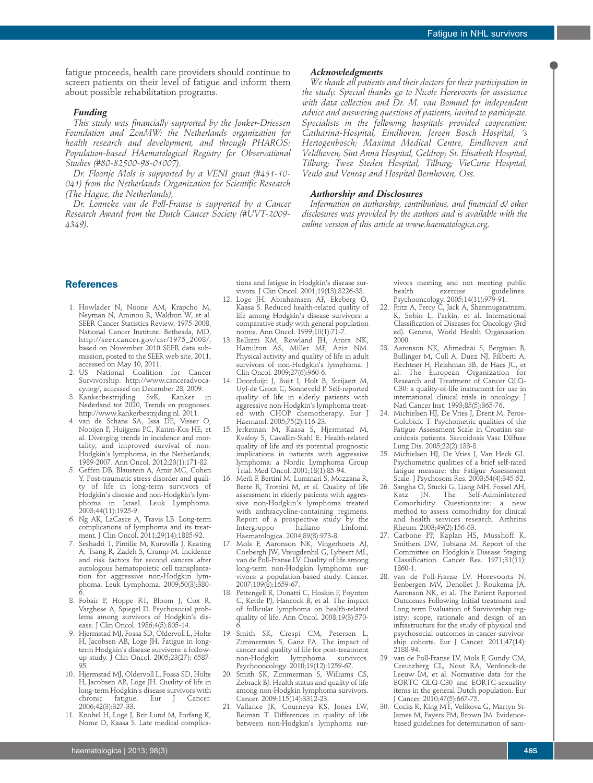fatigue proceeds, health care providers should continue to screen patients on their level of fatigue and inform them about possible rehabilitation programs.

# *Funding*

*This study was financially supported by the Jonker-Driessen Foundation and ZonMW: the Netherlands organization for health research and development, and through PHAROS: Population-based HAematological Registry for Observational Studies (#80-82500-98-01007).*

*Dr. Floortje Mols is supported by a VENI grant (#451-10- 041) from the Netherlands Organization for Scientific Research (The Hague, the Netherlands),*

*Dr. Lonneke van de Poll-Franse is supported by a Cancer Research Award from the Dutch Cancer Society (#UVT-2009- 4349).*

#### *Acknowledgments*

*We thank all patients and their doctors for their participation in the study. Special thanks go to Nicole Horevoorts for assistance with data collection and Dr. M. van Bommel for independent advice and answering questions of patients, invited to participate. Specialists in the following hospitals provided cooperation: Catharina-Hospital, Eindhoven; Jeroen Bosch Hospital, 's Hertogenbosch; Maxima Medical Centre, Eindhoven and Veldhoven; Sint Anna Hospital, Geldrop; St. Elisabeth Hospital, Tilburg; Twee Steden Hospital, Tilburg; VieCurie Hospital, Venlo and Venray and Hospital Bernhoven, Oss.*

# *Authorship and Disclosures*

*Information on authorship, contributions, and financial & other disclosures was provided by the authors and is available with the online version of this article at www.haematologica.org.*

## **References**

- 1. Howlader N, Noone AM, Krapcho M, Neyman N, Aminou R, Waldron W, et al. SEER Cancer Statistics Review, 1975-2008, National Cancer Institute. Bethesda, MD, http://seer.cancer.gov/csr/1975\_2008/, based on November 2010 SEER data submission, posted to the SEER web site, 2011, accessed on May 10, 2011.
- 2. US National Coalition for Cancer Survivorship. http://www.canceradvoca-
- cy.org/, accessed on December 28, 2009.<br>Kankerbestrijding SvK. Kanker in 3. Kankerbestrijding Nederland tot 2020, Trends en prognoses. http://www.kankerbestrijding.nl. 2011.
- 4. van de Schans SA, Issa DE, Visser O, Nooijen P, Huijgens PC, Karim-Kos HE, et al. Diverging trends in incidence and mortality, and improved survival of non-Hodgkin's lymphoma, in the Netherlands, 1989-2007. Ann Oncol. 2012;23(1):171-82.
- 5. Geffen DB, Blaustein A, Amir MC, Cohen Y. Post-traumatic stress disorder and quality of life in long-term survivors of Hodgkin's disease and non-Hodgkin's lymphoma in Israel. Leuk Lymphoma. 2003;44(11):1925-9.
- 6. Ng AK, LaCasce A, Travis LB. Long-term complications of lymphoma and its treatment. J Clin Oncol. 2011;29(14):1885-92.
- 7. Seshadri T, Pintilie M, Kuruvilla J, Keating A, Tsang R, Zadeh S, Crump M. Incidence and risk factors for second cancers after autologous hematopoietic cell transplantation for aggressive non-Hodgkin lymphoma. Leuk Lymphoma. 2009;50(3):380- 6.
- 8. Fobair P, Hoppe RT, Bloom J, Cox R, Varghese A, Spiegel D. Psychosocial problems among survivors of Hodgkin's disease. J Clin Oncol. 1986;4(5):805-14.
- 9. Hjermstad MJ, Fossa SD, Oldervoll L, Holte H, Jacobsen AB, Loge JH. Fatigue in longterm Hodgkin's disease survivors: a followup study. J Clin Oncol. 2005;23(27): 6587- 95.
- 10. Hjermstad MJ, Oldervoll L, Fossa SD, Holte H, Jacobsen AB, Loge JH. Quality of life in long-term Hodgkin's disease survivors with<br>chronic fatigue. Eur J Cancer. chronic fatigue. Eur J Cancer. 2006;42(3):327-33.
- 11. Knobel H, Loge J, Brit Lund M, Forfang K, Nome O, Kaasa S. Late medical complica-

tions and fatigue in Hodgkin's disease survivors. J Clin Oncol. 2001;19(13):3226-33.

- 12. Loge JH, Abrahamsen AF, Ekeberg O, Kaasa S. Reduced health-related quality of life among Hodgkin's disease survivors: a comparative study with general population norms. Ann Oncol. 1999;10(1):71-7.
- 13. Bellizzi KM, Rowland JH, Arora NK, Hamilton AS, Miller MF, Aziz NM. Physical activity and quality of life in adult survivors of non-Hodgkin's lymphoma. J Clin Oncol. 2009;27(6):960-6.
- 14. Doorduijn J, Buijt I, Holt B, Steijaert M, Uyl-de Groot C, Sonneveld P. Self-reported quality of life in elderly patients with aggressive non-Hodgkin's lymphoma treated with CHOP chemotherapy. Eur J Haematol. 2005;75(2):116-23.
- 15. Jerkeman M, Kaasa S, Hjermstad M, Kvaloy S, Cavallin-Stahl E. Health-related quality of life and its potential prognostic implications in patients with aggressive lymphoma: a Nordic Lymphoma Group Trial. Med Oncol. 2001;18(1):85-94.
- 16. Merli F, Bertini M, Luminari S, Mozzana R, Berte R, Trottini M, et al. Quality of life assessment in elderly patients with aggressive non-Hodgkin's lymphoma treated with anthracycline-containing regimens. Report of a prospective study by the<br>Intergruppo Italiano Linfomi. Intergruppo Haematologica. 2004;89(8):973-8.
- 17. Mols F, Aaronson NK, Vingerhoets AJ, Coebergh JW, Vreugdenhil G, Lybeert ML, van de Poll-Franse LV. Quality of life among long-term non-Hodgkin lymphoma survivors: a population-based study. Cancer. 2007;109(8):1659-67.
- 18. Pettengell R, Donatti C, Hoskin P, Poynton C, Kettle PJ, Hancock B, et al. The impact of follicular lymphoma on health-related quality of life. Ann Oncol. 2008;19(3):570- 6.
- 19. Smith SK, Crespi CM, Petersen L, Zimmerman S, Ganz PA. The impact of cancer and quality of life for post-treatment non-Hodgkin lymphoma survivors. Psychooncology. 2010;19(12):1259-67.
- 20. Smith SK, Zimmerman S, Williams CS, Zebrack BJ. Health status and quality of life among non-Hodgkin lymphoma survivors. Cancer. 2009;115(14):3312-23.
- 21. Vallance JK, Courneya KS, Jones LW, Reiman T. Differences in quality of life between non-Hodgkin's lymphoma sur-

vivors meeting and not meeting public<br>health exercise guidelines. guidelines. Psychooncology. 2005;14(11):979-91.

- 22. Fritz A, Percy C, Jack A, Shanmugaratnam, K, Sobin L, Parkin, et al. International Classification of Diseases for Oncology (3rd ed). Geneva, World Health Organisation. 2000.
- 23. Aaronson NK, Ahmedzai S, Bergman B, Bullinger M, Cull A, Duez NJ, Filiberti A, Flechtner H, Fleishman SB, de Haes JC, et al. The European Organization for Research and Treatment of Cancer QLQ-C30: a quality-of-life instrument for use in international clinical trials in oncology. J Natl Cancer Inst. 1993;85(5):365-76.
- 24. Michielsen HJ, De Vries J, Drent M, Peros-Golubicic T. Psychometric qualities of the Fatigue Assessment Scale in Croatian sarcoidosis patients. Sarcoidosis Vasc Diffuse Lung Dis. 2005;22(2):133-8.
- 25. Michielsen HJ, De Vries J, Van Heck GL. Psychometric qualities of a brief self-rated fatigue measure: the Fatigue Assessment Scale. J Psychosom Res. 2003;54(4):345-52.
- 26. Sangha O, Stucki G, Liang MH, Fossel AH, Katz JN. The Self-Administered Comorbidity Questionnaire: a new method to assess comorbidity for clinical and health services research. Arthritis Rheum. 2003;49(2):156-63.
- 27. Carbone PP, Kaplan HS, Musshoff K, Smithers DW, Tubiana M. Report of the Committee on Hodgkin's Disease Staging Classification. Cancer Res. 1971;31(11): 1860-1.
- 28. van de Poll-Franse LV, Horevoorts N, Eenbergen MV, Denollet J, Roukema JA, Aaronson NK, et al. The Patient Reported Outcomes Following Initial treatment and Long term Evaluation of Survivorship registry: scope, rationale and design of an infrastructure for the study of physical and psychosocial outcomes in cancer survivorship cohorts. Eur J Cancer. 2011;47(14): 2188-94.
- 29. van de Poll-Franse LV, Mols F, Gundy CM, Creutzberg CL, Nout RA, Verdonck-de Leeuw IM, et al. Normative data for the EORTC QLQ-C30 and EORTC-sexuality items in the general Dutch population. Eur J Cancer. 2010;47(5):667-75.
- 30. Cocks K, King MT, Velikova G, Martyn St-James M, Fayers PM, Brown JM. Evidencebased guidelines for determination of sam-